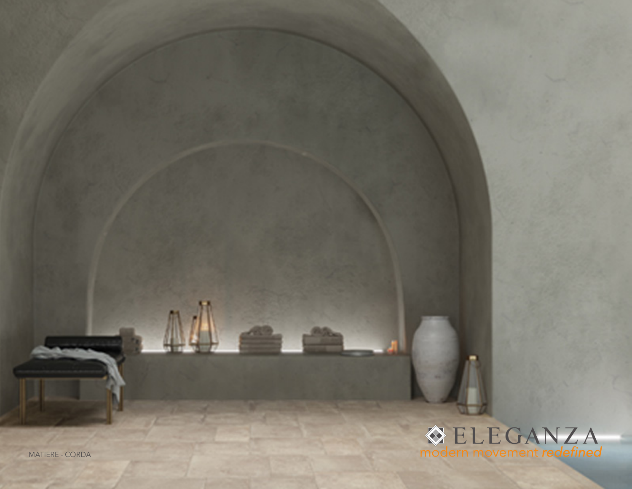## **OELEGANZA**<br>modern movement redefined

 $\mathbb{M}$